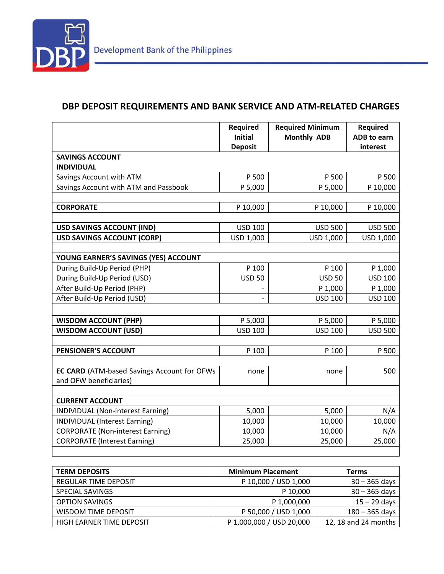

## **DBP DEPOSIT REQUIREMENTS AND BANK SERVICE AND ATM-RELATED CHARGES**

|                                             | <b>Required</b><br><b>Initial</b> | <b>Required Minimum</b><br><b>Monthly ADB</b> | <b>Required</b><br><b>ADB</b> to earn |
|---------------------------------------------|-----------------------------------|-----------------------------------------------|---------------------------------------|
|                                             | <b>Deposit</b>                    |                                               | interest                              |
| <b>SAVINGS ACCOUNT</b>                      |                                   |                                               |                                       |
| <b>INDIVIDUAL</b>                           |                                   |                                               |                                       |
| Savings Account with ATM                    | P 500                             | P 500                                         | P 500                                 |
| Savings Account with ATM and Passbook       | P 5,000                           | P 5,000                                       | P 10,000                              |
|                                             |                                   |                                               |                                       |
| <b>CORPORATE</b>                            | P 10,000                          | P 10,000                                      | P 10,000                              |
|                                             |                                   |                                               |                                       |
| <b>USD SAVINGS ACCOUNT (IND)</b>            | <b>USD 100</b>                    | <b>USD 500</b>                                | <b>USD 500</b>                        |
| <b>USD SAVINGS ACCOUNT (CORP)</b>           | USD 1,000                         | USD 1,000                                     | USD 1,000                             |
|                                             |                                   |                                               |                                       |
| YOUNG EARNER'S SAVINGS (YES) ACCOUNT        |                                   |                                               |                                       |
| During Build-Up Period (PHP)                | P 100                             | P 100                                         | P 1,000                               |
| During Build-Up Period (USD)                | <b>USD 50</b>                     | <b>USD 50</b>                                 | <b>USD 100</b>                        |
| After Build-Up Period (PHP)                 |                                   | P 1,000                                       | P 1,000                               |
| After Build-Up Period (USD)                 |                                   | <b>USD 100</b>                                | <b>USD 100</b>                        |
|                                             |                                   |                                               |                                       |
| <b>WISDOM ACCOUNT (PHP)</b>                 | P 5,000                           | P 5,000                                       | P 5,000                               |
| <b>WISDOM ACCOUNT (USD)</b>                 | <b>USD 100</b>                    | <b>USD 100</b>                                | <b>USD 500</b>                        |
|                                             |                                   |                                               |                                       |
| PENSIONER'S ACCOUNT                         | P 100                             | P 100                                         | P 500                                 |
|                                             |                                   |                                               |                                       |
| EC CARD (ATM-based Savings Account for OFWs | none                              | none                                          | 500                                   |
| and OFW beneficiaries)                      |                                   |                                               |                                       |
|                                             |                                   |                                               |                                       |
| <b>CURRENT ACCOUNT</b>                      |                                   |                                               |                                       |
| INDIVIDUAL (Non-interest Earning)           | 5,000                             | 5,000                                         | N/A                                   |
| <b>INDIVIDUAL (Interest Earning)</b>        | 10,000                            | 10,000                                        | 10,000                                |
| <b>CORPORATE (Non-interest Earning)</b>     | 10,000                            | 10,000                                        | N/A                                   |
| <b>CORPORATE (Interest Earning)</b>         | 25,000                            | 25,000                                        | 25,000                                |
|                                             |                                   |                                               |                                       |

| <b>TERM DEPOSITS</b>     | <b>Minimum Placement</b> | <b>Terms</b>         |
|--------------------------|--------------------------|----------------------|
| REGULAR TIME DEPOSIT     | P 10,000 / USD 1,000     | $30 - 365$ days      |
| SPECIAL SAVINGS          | P 10,000                 | $30 - 365$ days      |
| <b>OPTION SAVINGS</b>    | P 1,000,000              | $15 - 29$ days       |
| WISDOM TIME DEPOSIT      | P 50,000 / USD 1,000     | $180 - 365$ days     |
| HIGH EARNER TIME DEPOSIT | P 1,000,000 / USD 20,000 | 12, 18 and 24 months |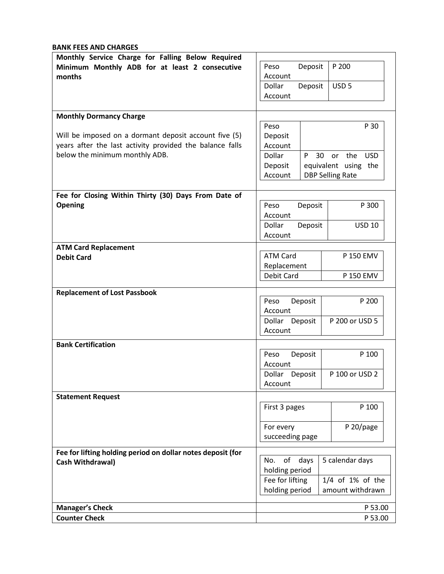**BANK FEES AND CHARGES**

| Monthly Service Charge for Falling Below Required           |                                     |                            |
|-------------------------------------------------------------|-------------------------------------|----------------------------|
| Minimum Monthly ADB for at least 2 consecutive              | Peso<br>Deposit                     | P 200                      |
| months                                                      | Account                             |                            |
|                                                             | Deposit<br>Dollar                   | USD <sub>5</sub>           |
|                                                             | Account                             |                            |
|                                                             |                                     |                            |
| <b>Monthly Dormancy Charge</b>                              |                                     |                            |
|                                                             | Peso                                | P 30                       |
| Will be imposed on a dormant deposit account five (5)       | Deposit                             |                            |
| years after the last activity provided the balance falls    | Account                             |                            |
| below the minimum monthly ADB.                              | Dollar<br>P                         | <b>USD</b><br>30<br>or the |
|                                                             | Deposit                             | equivalent using the       |
|                                                             | Account                             | <b>DBP Selling Rate</b>    |
|                                                             |                                     |                            |
| Fee for Closing Within Thirty (30) Days From Date of        |                                     |                            |
| Opening                                                     | Peso<br>Deposit                     | P 300                      |
|                                                             | Account                             |                            |
|                                                             | Deposit<br>Dollar                   | <b>USD 10</b>              |
|                                                             | Account                             |                            |
| <b>ATM Card Replacement</b>                                 |                                     |                            |
| <b>Debit Card</b>                                           | <b>ATM Card</b>                     | P 150 EMV                  |
|                                                             | Replacement                         |                            |
|                                                             | Debit Card                          | P 150 EMV                  |
|                                                             |                                     |                            |
| <b>Replacement of Lost Passbook</b>                         | Deposit<br>Peso                     | P 200                      |
|                                                             | Account                             |                            |
|                                                             | P 200 or USD 5<br>Deposit<br>Dollar |                            |
|                                                             | Account                             |                            |
| <b>Bank Certification</b>                                   |                                     |                            |
|                                                             | Deposit<br>Peso                     | P 100                      |
|                                                             | Account                             |                            |
|                                                             | Dollar<br>Deposit                   | P 100 or USD 2             |
|                                                             | Account                             |                            |
| <b>Statement Request</b>                                    |                                     |                            |
|                                                             | First 3 pages                       | P 100                      |
|                                                             |                                     |                            |
|                                                             | For every                           | P 20/page                  |
|                                                             | succeeding page                     |                            |
|                                                             |                                     |                            |
| Fee for lifting holding period on dollar notes deposit (for |                                     |                            |
| Cash Withdrawal)                                            | No.<br>of days<br>5 calendar days   |                            |
|                                                             | holding period                      |                            |
|                                                             | Fee for lifting                     | 1/4 of 1% of the           |
|                                                             | holding period                      | amount withdrawn           |
| <b>Manager's Check</b>                                      |                                     | P 53.00                    |
| <b>Counter Check</b>                                        |                                     | P 53.00                    |
|                                                             |                                     |                            |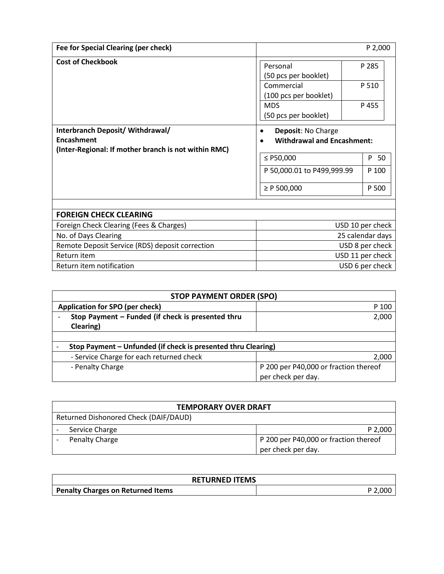| Fee for Special Clearing (per check)                                                                   |                                                                                                                                    | P 2,000        |
|--------------------------------------------------------------------------------------------------------|------------------------------------------------------------------------------------------------------------------------------------|----------------|
| <b>Cost of Checkbook</b>                                                                               | Personal<br>(50 pcs per booklet)<br>Commercial<br>(100 pcs per booklet)                                                            | P 285<br>P 510 |
|                                                                                                        | <b>MDS</b><br>(50 pcs per booklet)                                                                                                 | P 455          |
| Interbranch Deposit/ Withdrawal/<br>Encashment<br>(Inter-Regional: If mother branch is not within RMC) | Deposit: No Charge<br><b>Withdrawal and Encashment:</b><br>$\bullet$<br>P 50<br>≤ $P50,000$<br>P 50,000.01 to P499,999.99<br>P 100 |                |
|                                                                                                        | $\geq P$ 500,000                                                                                                                   | P 500          |
|                                                                                                        |                                                                                                                                    |                |
| <b>FOREIGN CHECK CLEARING</b>                                                                          |                                                                                                                                    |                |
| Foreign Check Clearing (Fees & Charges)                                                                | USD 10 per check                                                                                                                   |                |
| No. of Days Clearing                                                                                   | 25 calendar days                                                                                                                   |                |
| Remote Deposit Service (RDS) deposit correction                                                        | USD 8 per check                                                                                                                    |                |
| Return item                                                                                            | USD 11 per check                                                                                                                   |                |
| Return item notification                                                                               | USD 6 per check                                                                                                                    |                |

| <b>STOP PAYMENT ORDER (SPO)</b>                               |                                       |  |
|---------------------------------------------------------------|---------------------------------------|--|
| Application for SPO (per check)                               | P 100                                 |  |
| Stop Payment - Funded (if check is presented thru             | 2,000                                 |  |
| Clearing)                                                     |                                       |  |
|                                                               |                                       |  |
| Stop Payment - Unfunded (if check is presented thru Clearing) |                                       |  |
| - Service Charge for each returned check                      | 2,000                                 |  |
| - Penalty Charge                                              | P 200 per P40,000 or fraction thereof |  |
|                                                               | per check per day.                    |  |

| <b>TEMPORARY OVER DRAFT</b>           |                |                                       |  |
|---------------------------------------|----------------|---------------------------------------|--|
| Returned Dishonored Check (DAIF/DAUD) |                |                                       |  |
|                                       | Service Charge | P 2,000                               |  |
|                                       | Penalty Charge | P 200 per P40,000 or fraction thereof |  |
|                                       |                | per check per day.                    |  |

| <b>RETURNED ITEMS</b>             |  |  |
|-----------------------------------|--|--|
| Penalty Charges on Returned Items |  |  |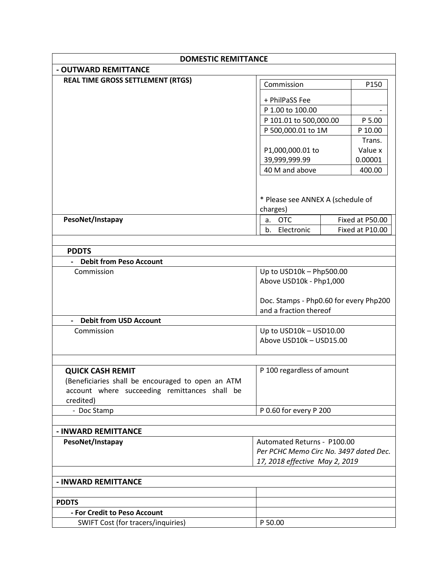| <b>DOMESTIC REMITTANCE</b>                                 |                                                                       |  |                   |
|------------------------------------------------------------|-----------------------------------------------------------------------|--|-------------------|
| - OUTWARD REMITTANCE                                       |                                                                       |  |                   |
| <b>REAL TIME GROSS SETTLEMENT (RTGS)</b>                   | Commission                                                            |  | P150              |
|                                                            |                                                                       |  |                   |
|                                                            | + PhilPaSS Fee                                                        |  |                   |
|                                                            | P 1.00 to 100.00                                                      |  |                   |
|                                                            | P 101.01 to 500,000.00                                                |  | P 5.00            |
|                                                            | P 500,000.01 to 1M                                                    |  | P 10.00           |
|                                                            |                                                                       |  | Trans.<br>Value x |
|                                                            | P1,000,000.01 to<br>39,999,999.99                                     |  | 0.00001           |
|                                                            | 40 M and above                                                        |  | 400.00            |
|                                                            |                                                                       |  |                   |
|                                                            |                                                                       |  |                   |
|                                                            | * Please see ANNEX A (schedule of                                     |  |                   |
|                                                            | charges)                                                              |  |                   |
| PesoNet/Instapay                                           | <b>OTC</b><br>a.                                                      |  | Fixed at P50.00   |
|                                                            | $h_{-}$<br>Electronic                                                 |  | Fixed at P10.00   |
|                                                            |                                                                       |  |                   |
| <b>PDDTS</b>                                               |                                                                       |  |                   |
| <b>Debit from Peso Account</b>                             |                                                                       |  |                   |
| Commission                                                 | Up to USD10k - Php500.00                                              |  |                   |
|                                                            | Above USD10k - Php1,000                                               |  |                   |
|                                                            |                                                                       |  |                   |
|                                                            | Doc. Stamps - Php0.60 for every Php200                                |  |                   |
|                                                            | and a fraction thereof                                                |  |                   |
| <b>Debit from USD Account</b>                              |                                                                       |  |                   |
| Commission                                                 | Up to USD10k - USD10.00                                               |  |                   |
|                                                            | Above USD10k - USD15.00                                               |  |                   |
|                                                            |                                                                       |  |                   |
|                                                            |                                                                       |  |                   |
| <b>QUICK CASH REMIT</b>                                    | P 100 regardless of amount                                            |  |                   |
| (Beneficiaries shall be encouraged to open an ATM          |                                                                       |  |                   |
| account where succeeding remittances shall be<br>credited) |                                                                       |  |                   |
| - Doc Stamp                                                | P 0.60 for every P 200                                                |  |                   |
|                                                            |                                                                       |  |                   |
| - INWARD REMITTANCE                                        |                                                                       |  |                   |
| PesoNet/Instapay                                           |                                                                       |  |                   |
|                                                            | Automated Returns - P100.00<br>Per PCHC Memo Circ No. 3497 dated Dec. |  |                   |
|                                                            | 17, 2018 effective May 2, 2019                                        |  |                   |
|                                                            |                                                                       |  |                   |
| - INWARD REMITTANCE                                        |                                                                       |  |                   |
|                                                            |                                                                       |  |                   |
| <b>PDDTS</b>                                               |                                                                       |  |                   |
| - For Credit to Peso Account                               |                                                                       |  |                   |
| SWIFT Cost (for tracers/inquiries)                         | P 50.00                                                               |  |                   |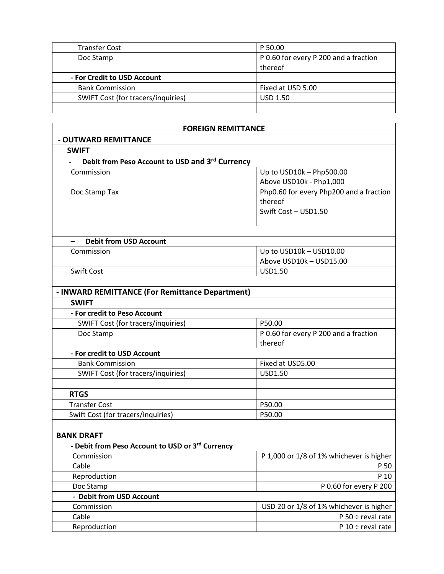| <b>Transfer Cost</b>               | P 50.00                               |
|------------------------------------|---------------------------------------|
| Doc Stamp                          | P 0.60 for every P 200 and a fraction |
|                                    | thereof                               |
| - For Credit to USD Account        |                                       |
| <b>Bank Commission</b>             | Fixed at USD 5.00                     |
| SWIFT Cost (for tracers/inquiries) | <b>USD 1.50</b>                       |
|                                    |                                       |

| <b>FOREIGN REMITTANCE</b>                        |                                          |  |
|--------------------------------------------------|------------------------------------------|--|
| - OUTWARD REMITTANCE                             |                                          |  |
| <b>SWIFT</b>                                     |                                          |  |
| Debit from Peso Account to USD and 3rd Currency  |                                          |  |
| Commission                                       | Up to USD10k - Php500.00                 |  |
|                                                  | Above USD10k - Php1,000                  |  |
| Doc Stamp Tax                                    | Php0.60 for every Php200 and a fraction  |  |
|                                                  | thereof                                  |  |
|                                                  | Swift Cost - USD1.50                     |  |
|                                                  |                                          |  |
| <b>Debit from USD Account</b>                    |                                          |  |
| Commission                                       | Up to USD10k - USD10.00                  |  |
|                                                  | Above USD10k - USD15.00                  |  |
| Swift Cost                                       | USD1.50                                  |  |
|                                                  |                                          |  |
| - INWARD REMITTANCE (For Remittance Department)  |                                          |  |
| <b>SWIFT</b>                                     |                                          |  |
| - For credit to Peso Account                     |                                          |  |
| SWIFT Cost (for tracers/inquiries)               | P50.00                                   |  |
| Doc Stamp                                        | P 0.60 for every P 200 and a fraction    |  |
|                                                  | thereof                                  |  |
| - For credit to USD Account                      |                                          |  |
| <b>Bank Commission</b>                           | Fixed at USD5.00                         |  |
| SWIFT Cost (for tracers/inquiries)               | USD1.50                                  |  |
|                                                  |                                          |  |
| <b>RTGS</b>                                      |                                          |  |
| <b>Transfer Cost</b>                             | P50.00                                   |  |
| Swift Cost (for tracers/inquiries)               | P50.00                                   |  |
|                                                  |                                          |  |
| <b>BANK DRAFT</b>                                |                                          |  |
| - Debit from Peso Account to USD or 3rd Currency |                                          |  |
| Commission                                       | P 1,000 or 1/8 of 1% whichever is higher |  |
| Cable                                            | P 50                                     |  |
| Reproduction                                     | P 10                                     |  |
| Doc Stamp                                        | P 0.60 for every P 200                   |  |
| - Debit from USD Account                         |                                          |  |
| Commission                                       | USD 20 or 1/8 of 1% whichever is higher  |  |
| Cable                                            | $P 50 \div$ reval rate                   |  |
| Reproduction                                     | $P 10 \div$ reval rate                   |  |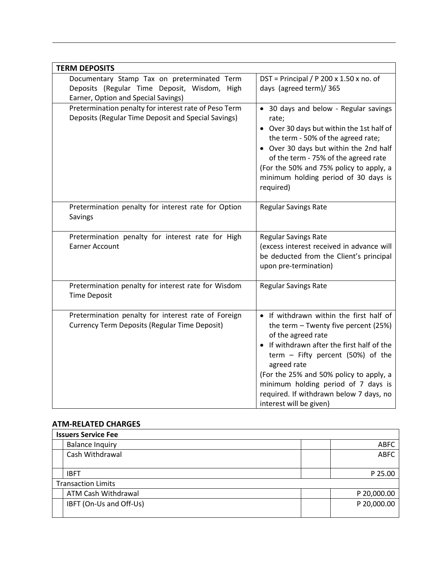| <b>TERM DEPOSITS</b>                                                                                                               |                                                                                                                                                                                                                                                                                                                                                                 |
|------------------------------------------------------------------------------------------------------------------------------------|-----------------------------------------------------------------------------------------------------------------------------------------------------------------------------------------------------------------------------------------------------------------------------------------------------------------------------------------------------------------|
| Documentary Stamp Tax on preterminated Term<br>Deposits (Regular Time Deposit, Wisdom, High<br>Earner, Option and Special Savings) | DST = Principal / P 200 x 1.50 x no. of<br>days (agreed term)/365                                                                                                                                                                                                                                                                                               |
| Pretermination penalty for interest rate of Peso Term<br>Deposits (Regular Time Deposit and Special Savings)                       | • 30 days and below - Regular savings<br>rate;<br>• Over 30 days but within the 1st half of<br>the term - 50% of the agreed rate;<br>• Over 30 days but within the 2nd half<br>of the term - 75% of the agreed rate<br>(For the 50% and 75% policy to apply, a<br>minimum holding period of 30 days is<br>required)                                             |
| Pretermination penalty for interest rate for Option<br>Savings                                                                     | <b>Regular Savings Rate</b>                                                                                                                                                                                                                                                                                                                                     |
| Pretermination penalty for interest rate for High<br><b>Earner Account</b>                                                         | <b>Regular Savings Rate</b><br>(excess interest received in advance will<br>be deducted from the Client's principal<br>upon pre-termination)                                                                                                                                                                                                                    |
| Pretermination penalty for interest rate for Wisdom<br><b>Time Deposit</b>                                                         | <b>Regular Savings Rate</b>                                                                                                                                                                                                                                                                                                                                     |
| Pretermination penalty for interest rate of Foreign<br><b>Currency Term Deposits (Regular Time Deposit)</b>                        | • If withdrawn within the first half of<br>the term - Twenty five percent (25%)<br>of the agreed rate<br>• If withdrawn after the first half of the<br>term - Fifty percent (50%) of the<br>agreed rate<br>(For the 25% and 50% policy to apply, a<br>minimum holding period of 7 days is<br>required. If withdrawn below 7 days, no<br>interest will be given) |

## **ATM-RELATED CHARGES**

| <b>Issuers Service Fee</b> |             |
|----------------------------|-------------|
| <b>Balance Inquiry</b>     | <b>ABFC</b> |
| Cash Withdrawal            | <b>ABFC</b> |
| <b>IBFT</b>                | P 25.00     |
| <b>Transaction Limits</b>  |             |
| ATM Cash Withdrawal        | P 20,000.00 |
| IBFT (On-Us and Off-Us)    | P 20,000.00 |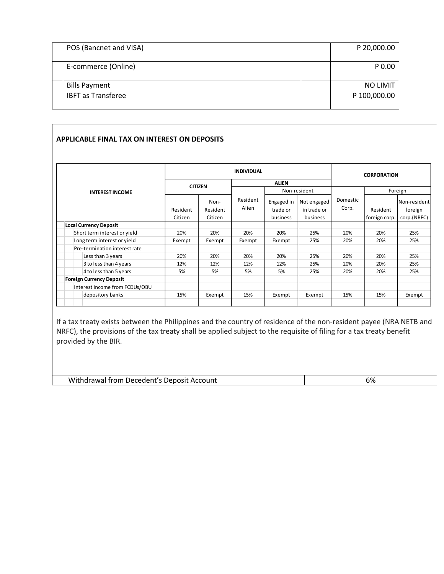| POS (Bancnet and VISA)    | P 20,000.00     |
|---------------------------|-----------------|
| E-commerce (Online)       | P 0.00          |
| <b>Bills Payment</b>      | <b>NO LIMIT</b> |
| <b>IBFT</b> as Transferee | P 100,000.00    |

## **APPLICABLE FINAL TAX ON INTEREST ON DEPOSITS**

|                                 |                     |                             | <b>INDIVIDUAL</b> | <b>CORPORATION</b>                 |                                        |                   |                           |                                        |  |
|---------------------------------|---------------------|-----------------------------|-------------------|------------------------------------|----------------------------------------|-------------------|---------------------------|----------------------------------------|--|
|                                 | <b>CITIZEN</b>      |                             |                   | <b>ALIEN</b>                       |                                        |                   |                           |                                        |  |
| <b>INTEREST INCOME</b>          |                     |                             |                   | Non-resident                       |                                        |                   | Foreign                   |                                        |  |
|                                 | Resident<br>Citizen | Non-<br>Resident<br>Citizen | Resident<br>Alien | Engaged in<br>trade or<br>business | Not engaged<br>in trade or<br>business | Domestic<br>Corp. | Resident<br>foreign corp. | Non-resident<br>foreign<br>corp.(NRFC) |  |
| <b>Local Currency Deposit</b>   |                     |                             |                   |                                    |                                        |                   |                           |                                        |  |
| Short term interest or yield    | 20%                 | 20%                         | 20%               | 20%                                | 25%                                    | 20%               | 20%                       | 25%                                    |  |
| Long term interest or yield     | Exempt              | Exempt                      | Exempt            | Exempt                             | 25%                                    | 20%               | 20%                       | 25%                                    |  |
| Pre-termination interest rate   |                     |                             |                   |                                    |                                        |                   |                           |                                        |  |
| Less than 3 years               | 20%                 | 20%                         | 20%               | 20%                                | 25%                                    | 20%               | 20%                       | 25%                                    |  |
| 3 to less than 4 years          | 12%                 | 12%                         | 12%               | 12%                                | 25%                                    | 20%               | 20%                       | 25%                                    |  |
| 4 to less than 5 years          | 5%                  | 5%                          | 5%                | 5%                                 | 25%                                    | 20%               | 20%                       | 25%                                    |  |
| <b>Foreign Currency Deposit</b> |                     |                             |                   |                                    |                                        |                   |                           |                                        |  |
| Interest income from FCDUs/OBU  |                     |                             |                   |                                    |                                        |                   |                           |                                        |  |
| depository banks                | 15%                 | Exempt                      | 15%               | Exempt                             | Exempt                                 | 15%               | 15%                       | Exempt                                 |  |

If a tax treaty exists between the Philippines and the country of residence of the non-resident payee (NRA NETB and NRFC), the provisions of the tax treaty shall be applied subject to the requisite of filing for a tax treaty benefit provided by the BIR.

| Withdrawal from Decedent's Deposit Account | 6% |
|--------------------------------------------|----|
|--------------------------------------------|----|